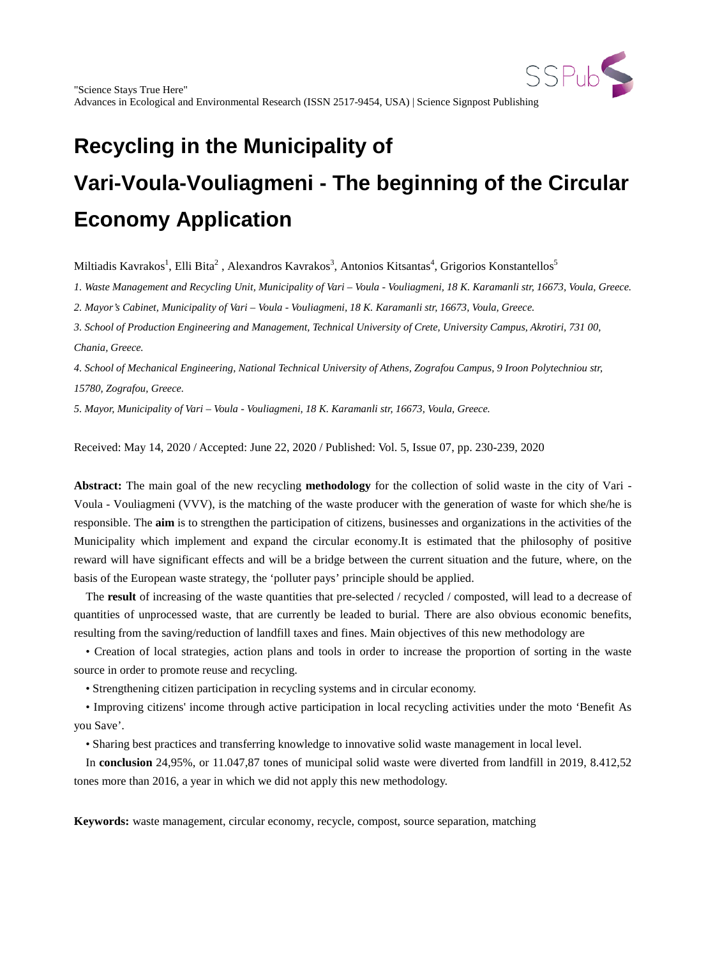

Miltiadis Kavrakos<sup>1</sup>, Elli Bita<sup>2</sup> , Alexandros Kavrakos<sup>3</sup>, Antonios Kitsantas<sup>4</sup>, Grigorios Konstantellos<sup>5</sup>

*1. Waste Management and Recycling Unit, Municipality of Vari – Voula - Vouliagmeni, 18 K. Karamanli str, 16673, Voula, Greece.*

*2. Mayor's Cabinet, Municipality of Vari – Voula - Vouliagmeni, 18 K. Karamanli str, 16673, Voula, Greece.*

*3. School of Production Engineering and Management, Technical University of Crete, University Campus, Akrotiri, 731 00, Chania, Greece.*

*4. School of Mechanical Engineering, National Technical University of Athens, Zografou Campus, 9 Iroon Polytechniou str, 15780, Zografou, Greece.*

*5. Mayor, Municipality of Vari – Voula - Vouliagmeni, 18 K. Karamanli str, 16673, Voula, Greece.*

Received: May 14, 2020 / Accepted: June 22, 2020 / Published: Vol. 5, Issue 07, pp. 230-239, 2020

**Abstract:** The main goal of the new recycling **methodology** for the collection of solid waste in the city of Vari - Voula - Vouliagmeni (VVV), is the matching of the waste producer with the generation of waste for which she/he is responsible. The **aim** is to strengthen the participation of citizens, businesses and organizations in the activities of the Municipality which implement and expand the circular economy.It is estimated that the philosophy of positive reward will have significant effects and will be a bridge between the current situation and the future, where, on the basis of the European waste strategy, the 'polluter pays' principle should be applied.

The **result** of increasing of the waste quantities that pre-selected / recycled / composted, will lead to a decrease of quantities of unprocessed waste, that are currently be leaded to burial. There are also obvious economic benefits, resulting from the saving/reduction of landfill taxes and fines. Main objectives of this new methodology are

• Creation of local strategies, action plans and tools in order to increase the proportion of sorting in the waste source in order to promote reuse and recycling.

• Strengthening citizen participation in recycling systems and in circular economy.

• Improving citizens' income through active participation in local recycling activities under the moto 'Benefit As you Save'.

• Sharing best practices and transferring knowledge to innovative solid waste management in local level.

In **conclusion** 24,95%, or 11.047,87 tones of municipal solid waste were diverted from landfill in 2019, 8.412,52 tones more than 2016, a year in which we did not apply this new methodology.

**Keywords:** waste management, circular economy, recycle, compost, source separation, matching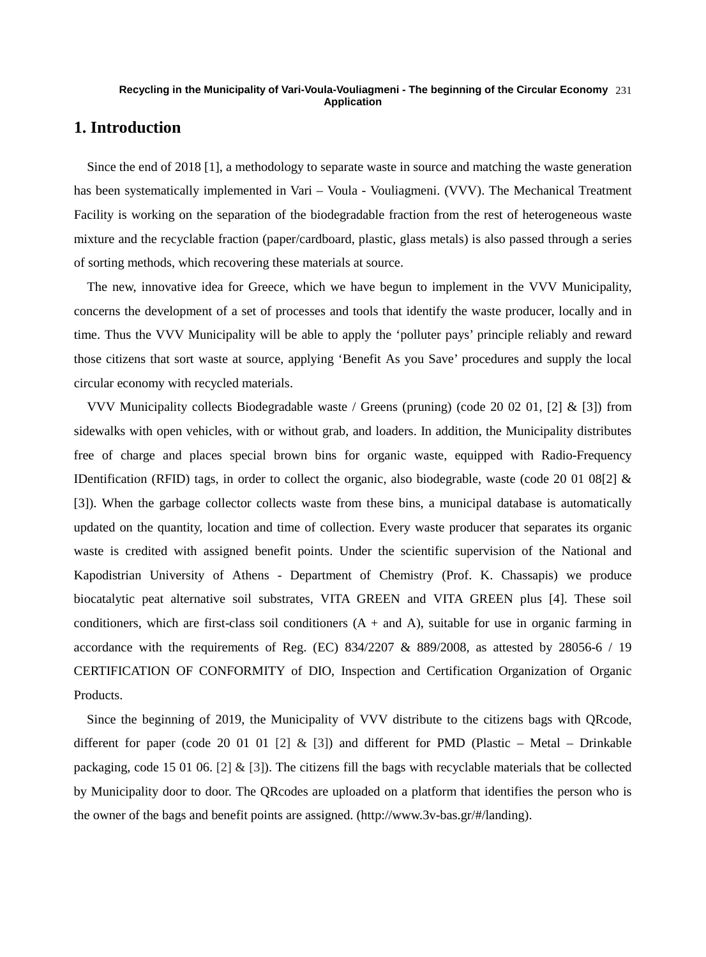# **1. Introduction**

Since the end of 2018 [1], a methodology to separate waste in source and matching the waste generation has been systematically implemented in Vari – Voula - Vouliagmeni. (VVV). The Mechanical Treatment Facility is working on the separation of the biodegradable fraction from the rest of heterogeneous waste mixture and the recyclable fraction (paper/cardboard, plastic, glass metals) is also passed through a series of sorting methods, which recovering these materials at source.

The new, innovative idea for Greece, which we have begun to implement in the VVV Municipality, concerns the development of a set of processes and tools that identify the waste producer, locally and in time. Thus the VVV Municipality will be able to apply the 'polluter pays' principle reliably and reward those citizens that sort waste at source, applying 'Benefit As you Save' procedures and supply the local circular economy with recycled materials.

VVV Municipality collects Biodegradable waste / Greens (pruning) (code 20 02 01, [2] & [3]) from sidewalks with open vehicles, with or without grab, and loaders. In addition, the Municipality distributes free of charge and places special brown bins for organic waste, equipped with Radio-Frequency IDentification (RFID) tags, in order to collect the organic, also biodegrable, waste (code 20 01 08[2] & [3]). When the garbage collector collects waste from these bins, a municipal database is automatically updated on the quantity, location and time of collection. Every waste producer that separates its organic waste is credited with assigned benefit points. Under the scientific supervision of the National and Kapodistrian University of Athens - Department of Chemistry (Prof. K. Chassapis) we produce biocatalytic peat alternative soil substrates, VITA GREEN and VITA GREEN plus [4]. These soil conditioners, which are first-class soil conditioners  $(A + and A)$ , suitable for use in organic farming in accordance with the requirements of Reg. (EC)  $834/2207 \& 889/2008$ , as attested by 28056-6 / 19 CERTIFICATION OF CONFORMITY of DIO, Inspection and Certification Organization of Organic Products.

Since the beginning of 2019, the Municipality of VVV distribute to the citizens bags with QRcode, different for paper (code 20 01 01 [2]  $\&$  [3]) and different for PMD (Plastic – Metal – Drinkable packaging, code 15 01 06. [2] & [3]). The citizens fill the bags with recyclable materials that be collected by Municipality door to door. The QRcodes are uploaded on a platform that identifies the person who is the owner of the bags and benefit points are assigned. (http://www.3v-bas.gr/#/landing).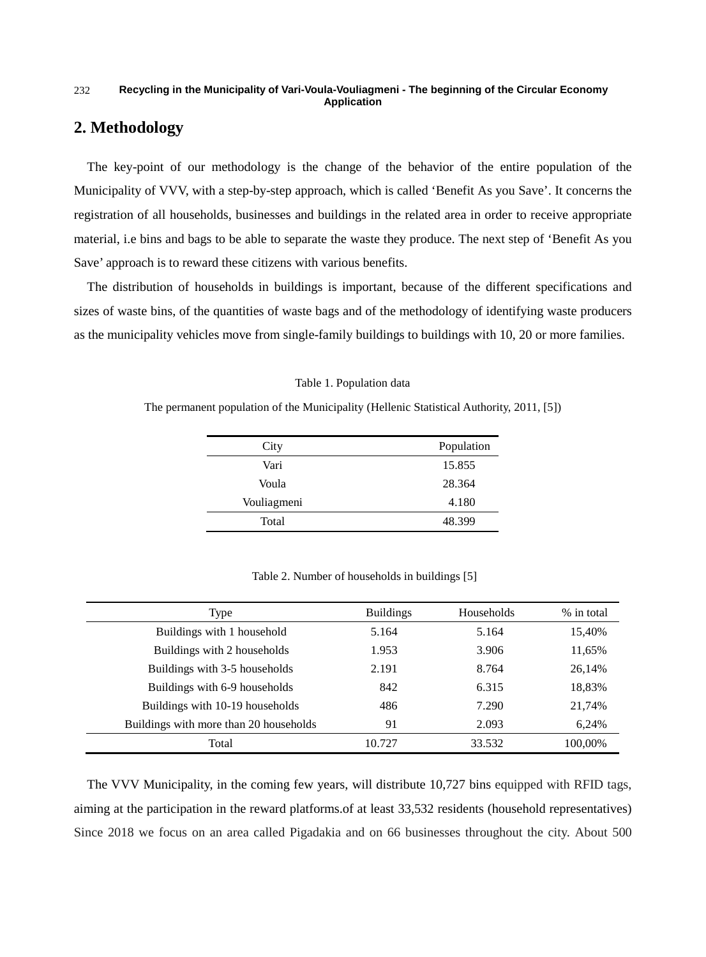# **2. Methodology**

The key-point of our methodology is the change of the behavior of the entire population of the Municipality of VVV, with a step-by-step approach, which is called 'Benefit As you Save'. It concerns the registration of all households, businesses and buildings in the related area in order to receive appropriate material, i.e bins and bags to be able to separate the waste they produce. The next step of 'Benefit As you Save' approach is to reward these citizens with various benefits.

The distribution of households in buildings is important, because of the different specifications and sizes of waste bins, of the quantities of waste bags and of the methodology of identifying waste producers as the municipality vehicles move from single-family buildings to buildings with 10, 20 or more families.

|  |  |  | Table 1. Population data |  |
|--|--|--|--------------------------|--|
|--|--|--|--------------------------|--|

The permanent population of the Municipality (Hellenic Statistical Authority, 2011, [5])

| City        | Population |
|-------------|------------|
| Vari        | 15.855     |
| Voula       | 28.364     |
| Vouliagmeni | 4.180      |
| Total       | 48.399     |

Table 2. Number of households in buildings [5]

| Type                                   | <b>Buildings</b> | Households | % in total |
|----------------------------------------|------------------|------------|------------|
| Buildings with 1 household             | 5.164            | 5.164      | 15,40%     |
| Buildings with 2 households            | 1.953            | 3.906      | 11,65%     |
| Buildings with 3-5 households          | 2.191            | 8.764      | 26,14%     |
| Buildings with 6-9 households          | 842              | 6.315      | 18,83%     |
| Buildings with 10-19 households        | 486              | 7.290      | 21,74%     |
| Buildings with more than 20 households | 91               | 2.093      | 6.24%      |
| Total                                  | 10.727           | 33.532     | 100,00%    |

The VVV Municipality, in the coming few years, will distribute 10,727 bins equipped with RFID tags, aiming at the participation in the reward platforms.of at least 33,532 residents (household representatives) Since 2018 we focus on an area called Pigadakia and on 66 businesses throughout the city. About 500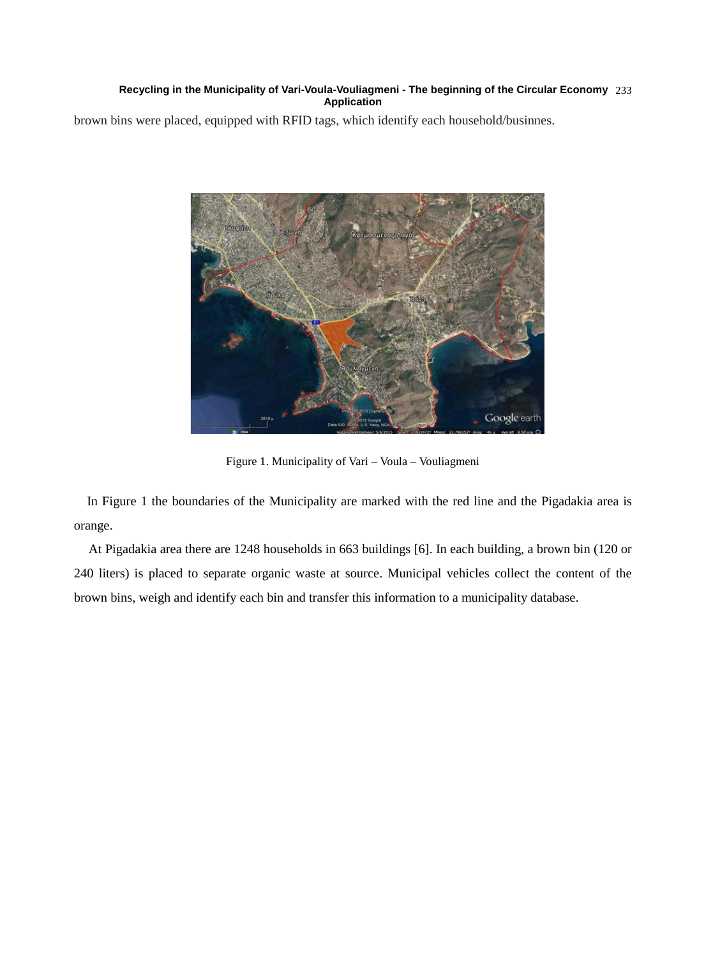brown bins were placed, equipped with RFID tags, which identify each household/businnes.



Figure 1. Municipality of Vari – Voula – Vouliagmeni

In Figure 1 the boundaries of the Municipality are marked with the red line and the Pigadakia area is orange.

At Pigadakia area there are 1248 households in 663 buildings [6]. In each building, a brown bin (120 or 240 liters) is placed to separate organic waste at source. Municipal vehicles collect the content of the brown bins, weigh and identify each bin and transfer this information to a municipality database.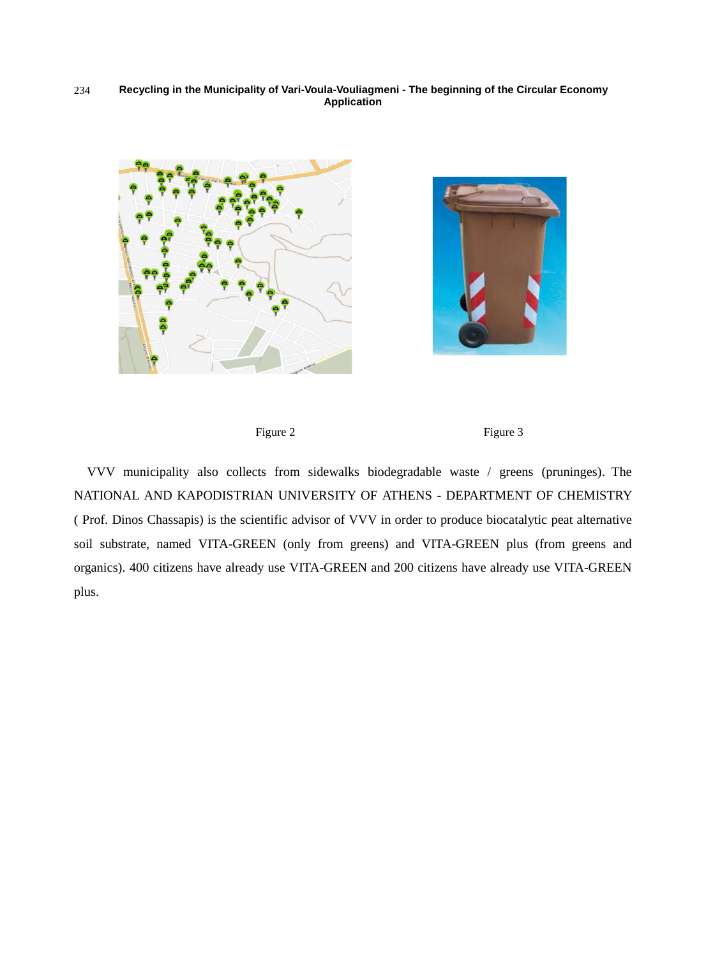







VVV municipality also collects from sidewalks biodegradable waste / greens (pruninges). The NATIONAL AND KAPODISTRIAN UNIVERSITY OF ATHENS - DEPARTMENT OF CHEMISTRY ( Prof. Dinos Chassapis) is the scientific advisor of VVV in order to produce biocatalytic peat alternative soil substrate, named VITA-GREEN (only from greens) and VITA-GREEN plus (from greens and organics). 400 citizens have already use VITA-GREEN and 200 citizens have already use VITA-GREEN plus.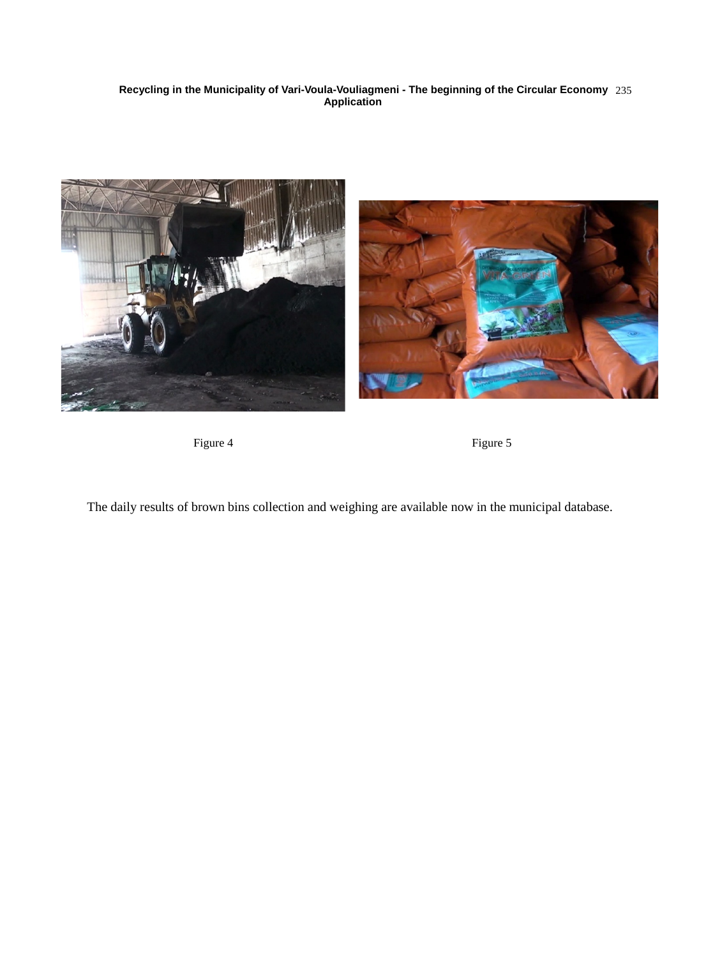

Figure 4 Figure 5

The daily results of brown bins collection and weighing are available now in the municipal database.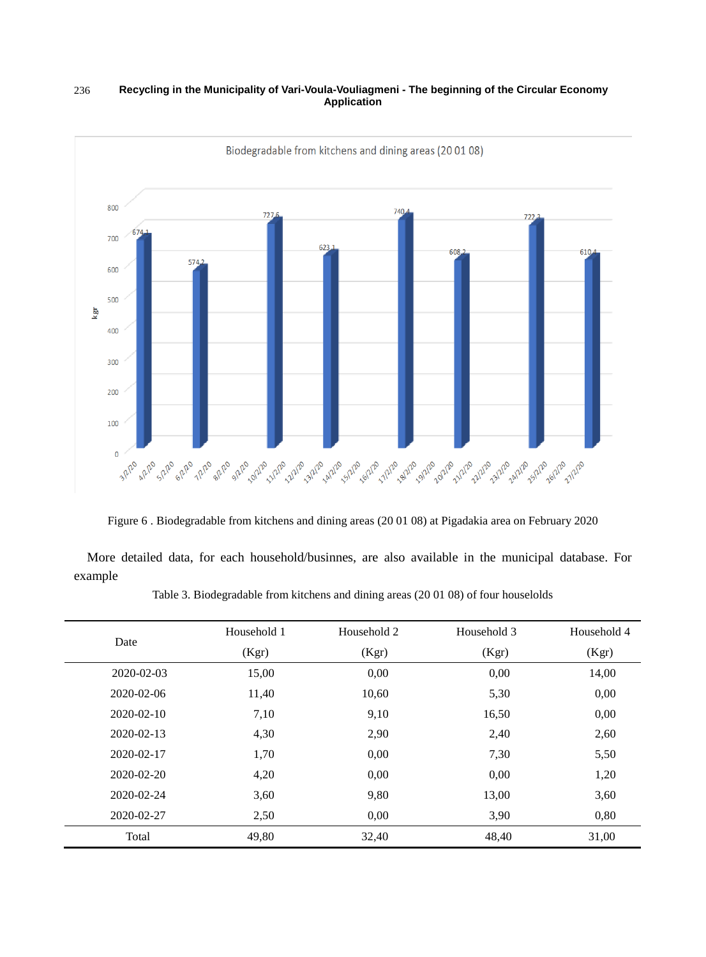

Figure 6 . Biodegradable from kitchens and dining areas (20 01 08) at Pigadakia area on February 2020

More detailed data, for each household/businnes, are also available in the municipal database. For example

| Date             | Household 1<br>(Kgr) | Household 2<br>(Kgr) | Household 3<br>(Kgr) | Household 4<br>(Kgr) |
|------------------|----------------------|----------------------|----------------------|----------------------|
| 2020-02-03       | 15,00                | 0,00                 | 0,00                 | 14,00                |
| 2020-02-06       | 11,40                | 10,60                | 5,30                 | 0,00                 |
| $2020 - 02 - 10$ | 7,10                 | 9,10                 | 16,50                | 0,00                 |
| 2020-02-13       | 4,30                 | 2,90                 | 2,40                 | 2,60                 |
| 2020-02-17       | 1,70                 | 0,00                 | 7,30                 | 5,50                 |
| 2020-02-20       | 4,20                 | 0,00                 | 0,00                 | 1,20                 |
| 2020-02-24       | 3,60                 | 9,80                 | 13,00                | 3,60                 |
| 2020-02-27       | 2,50                 | 0,00                 | 3,90                 | 0,80                 |
| Total            | 49,80                | 32,40                | 48,40                | 31,00                |

Table 3. Biodegradable from kitchens and dining areas (20 01 08) of four houselolds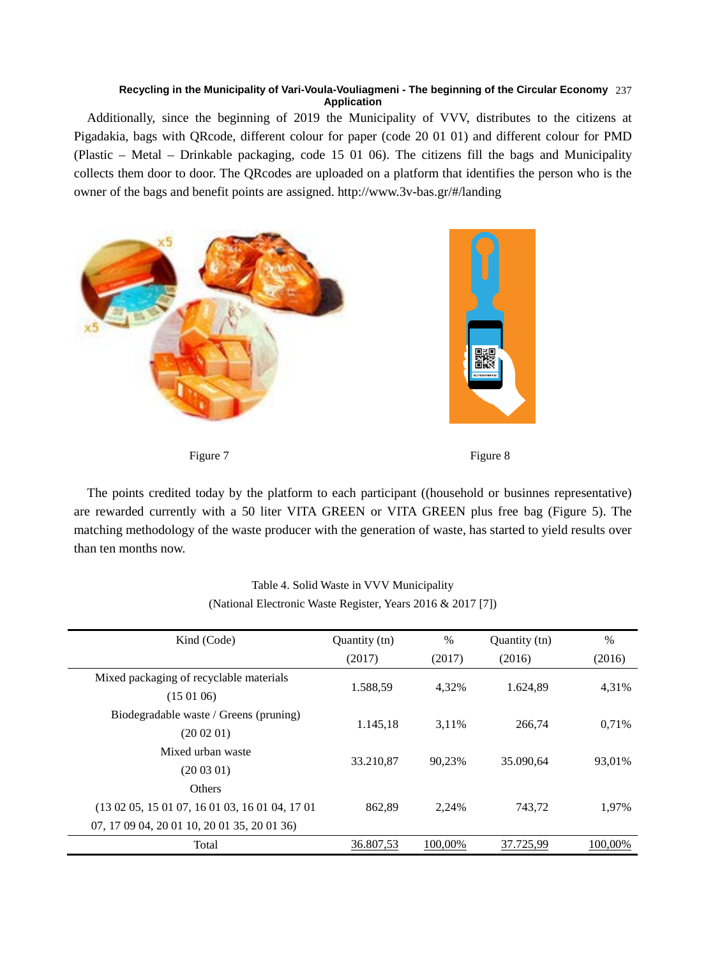Additionally, since the beginning of 2019 the Municipality of VVV, distributes to the citizens at Pigadakia, bags with QRcode, different colour for paper (code 20 01 01) and different colour for PMD (Plastic – Metal – Drinkable packaging, code 15 01 06). The citizens fill the bags and Municipality collects them door to door. The QRcodes are uploaded on a platform that identifies the person who is the owner of the bags and benefit points are assigned. http://www.3v-bas.gr/#/landing



Figure 7 Figure 8

The points credited today by the platform to each participant ((household or businnes representative) are rewarded currently with a 50 liter VITA GREEN or VITA GREEN plus free bag (Figure 5). The matching methodology of the waste producer with the generation of waste, has started to yield results over than ten months now.

| Kind (Code)                                                                                                               | Quantity (tn) | $\%$    | Quantity (tn) | $\%$    |
|---------------------------------------------------------------------------------------------------------------------------|---------------|---------|---------------|---------|
|                                                                                                                           | (2017)        | (2017)  | (2016)        | (2016)  |
| Mixed packaging of recyclable materials<br>(150106)                                                                       | 1.588.59      | 4,32%   | 1.624,89      | 4,31%   |
| Biodegradable waste / Greens (pruning)<br>(200201)                                                                        | 1.145,18      | 3.11%   | 266,74        | 0.71%   |
| Mixed urban waste<br>(200301)                                                                                             | 33.210,87     | 90.23%  | 35.090,64     | 93.01%  |
| <b>Others</b><br>$(13\ 02\ 05, 15\ 01\ 07, 16\ 01\ 03, 16\ 01\ 04, 17\ 01$<br>07, 17 09 04, 20 01 10, 20 01 35, 20 01 36) | 862.89        | 2,24%   | 743,72        | 1,97%   |
| Total                                                                                                                     | 36.807,53     | 100.00% | 37.725,99     | 100.00% |

# Table 4. Solid Waste in VVV Municipality (National Electronic Waste Register, Years 2016 & 2017 [7])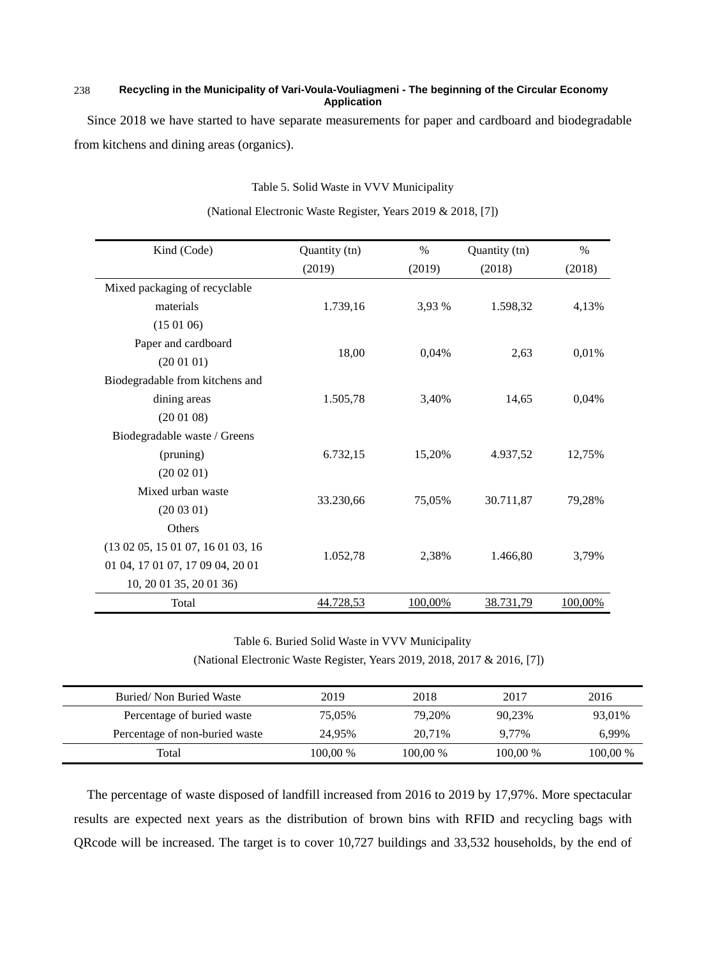Since 2018 we have started to have separate measurements for paper and cardboard and biodegradable from kitchens and dining areas (organics).

Table 5. Solid Waste in VVV Municipality

| Kind (Code)                       | Quantity (tn) | $\%$    | Quantity (tn) | $\%$    |
|-----------------------------------|---------------|---------|---------------|---------|
|                                   | (2019)        | (2019)  | (2018)        | (2018)  |
| Mixed packaging of recyclable     |               |         |               |         |
| materials                         | 1.739,16      | 3,93 %  | 1.598,32      | 4,13%   |
| (150106)                          |               |         |               |         |
| Paper and cardboard               |               |         |               |         |
| (200101)                          | 18,00         | 0,04%   | 2,63          | 0,01%   |
| Biodegradable from kitchens and   |               |         |               |         |
| dining areas                      | 1.505,78      | 3,40%   | 14,65         | 0,04%   |
| (200108)                          |               |         |               |         |
| Biodegradable waste / Greens      |               |         |               |         |
| (pruning)                         | 6.732,15      | 15,20%  | 4.937,52      | 12,75%  |
| (200201)                          |               |         |               |         |
| Mixed urban waste                 |               |         |               |         |
| (200301)                          | 33.230,66     | 75,05%  | 30.711,87     | 79,28%  |
| <b>Others</b>                     |               |         |               |         |
| (13 02 05, 15 01 07, 16 01 03, 16 |               |         |               |         |
| 01 04, 17 01 07, 17 09 04, 20 01  | 1.052,78      | 2,38%   | 1.466,80      | 3,79%   |
| 10, 20 01 35, 20 01 36)           |               |         |               |         |
| Total                             | 44.728,53     | 100,00% | 38.731,79     | 100,00% |

(National Electronic Waste Register, Years 2019 & 2018, [7])

Table 6. Buried Solid Waste in VVV Municipality (National Electronic Waste Register, Years 2019, 2018, 2017 & 2016, [7])

| Buried/Non Buried Waste        | 2019     | 2018     | 2017     | 2016     |
|--------------------------------|----------|----------|----------|----------|
| Percentage of buried waste     | 75.05%   | 79.20%   | 90.23%   | 93.01%   |
| Percentage of non-buried waste | 24.95%   | 20.71%   | 9.77%    | 6,99%    |
| Total                          | 100.00 % | 100.00 % | 100.00 % | 100,00 % |

The percentage of waste disposed of landfill increased from 2016 to 2019 by 17,97%. More spectacular results are expected next years as the distribution of brown bins with RFID and recycling bags with QRcode will be increased. The target is to cover 10,727 buildings and 33,532 households, by the end of